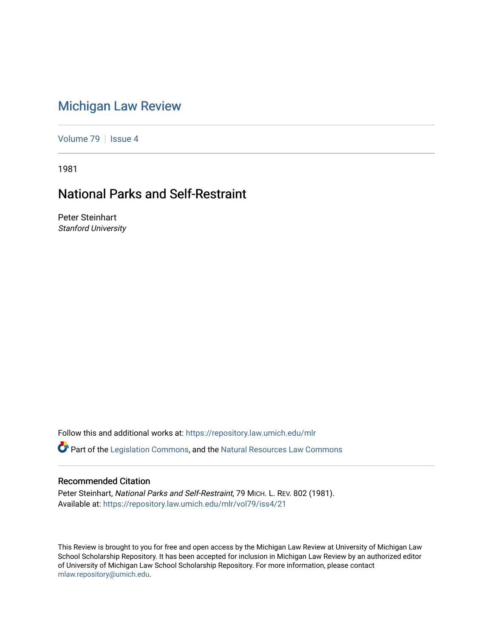# [Michigan Law Review](https://repository.law.umich.edu/mlr)

[Volume 79](https://repository.law.umich.edu/mlr/vol79) | [Issue 4](https://repository.law.umich.edu/mlr/vol79/iss4)

1981

## National Parks and Self-Restraint

Peter Steinhart Stanford University

Follow this and additional works at: [https://repository.law.umich.edu/mlr](https://repository.law.umich.edu/mlr?utm_source=repository.law.umich.edu%2Fmlr%2Fvol79%2Fiss4%2F21&utm_medium=PDF&utm_campaign=PDFCoverPages) 

**C**<sup> $\bullet$ </sup> Part of the [Legislation Commons](http://network.bepress.com/hgg/discipline/859?utm_source=repository.law.umich.edu%2Fmlr%2Fvol79%2Fiss4%2F21&utm_medium=PDF&utm_campaign=PDFCoverPages), and the Natural Resources Law Commons

#### Recommended Citation

Peter Steinhart, National Parks and Self-Restraint, 79 MICH. L. REV. 802 (1981). Available at: [https://repository.law.umich.edu/mlr/vol79/iss4/21](https://repository.law.umich.edu/mlr/vol79/iss4/21?utm_source=repository.law.umich.edu%2Fmlr%2Fvol79%2Fiss4%2F21&utm_medium=PDF&utm_campaign=PDFCoverPages) 

This Review is brought to you for free and open access by the Michigan Law Review at University of Michigan Law School Scholarship Repository. It has been accepted for inclusion in Michigan Law Review by an authorized editor of University of Michigan Law School Scholarship Repository. For more information, please contact [mlaw.repository@umich.edu.](mailto:mlaw.repository@umich.edu)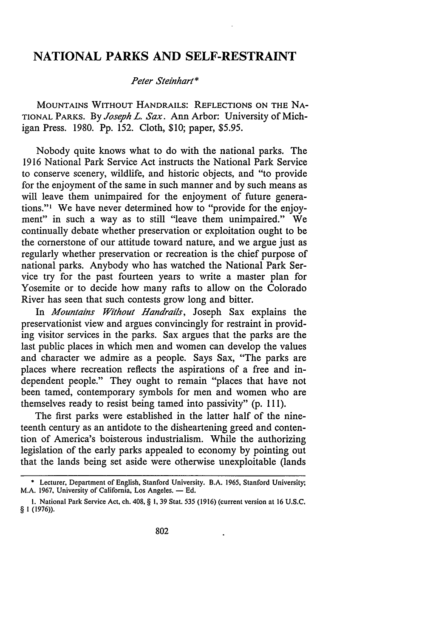### **NATIONAL PARKS AND SELF-RESTRAINT**

#### *Peter Steinhart\**

MOUNTAINS WITHOUT HANDRAILS: REFLECTIONS ON THE NA-TIONAL PARKS. By *Joseph L. Sax.* Ann Arbor: University of Michigan Press. 1980. Pp. 152. Cloth, \$10; paper, \$5.95.

Nobody quite knows what to do with the national parks. The 1916 National Park Service Act instructs the National Park Service to conserve scenery, wildlife, and historic objects, and "to provide for the enjoyment of the same in such manner and by such means as will leave them unimpaired for the enjoyment of future generations."<sup>1</sup> We have never determined how to "provide for the enjoyment" in such a way as to still "leave them unimpaired." We continually debate whether preservation or exploitation ought to be the cornerstone of our attitude toward nature, and we argue just as regularly whether preservation or recreation is the chief purpose of national parks. Anybody who has watched the National Park Service try for the past fourteen years to write a master plan for Yosemite or to decide how many rafts to allow on the Colorado River has seen that such contests grow long and bitter.

In *Mountains Without Handrails,* Joseph Sax explains the preservationist view and argues convincingly for restraint in providing visitor services in the parks. Sax argues that the parks are the last public places in which men and women can develop the values and character we admire as a people. Says Sax, "The parks are places where recreation reflects the aspirations of a free and independent people." They ought to remain "places that have not been tamed, contemporary symbols for men and women who are themselves ready to resist being tamed into passivity" (p. 111).

The first parks were established in the latter half of the nineteenth century as an antidote to the disheartening greed and contention of America's boisterous industrialism. While the authorizing legislation of the early parks appealed to economy by pointing out that the lands being set aside were otherwise unexploitable (lands

<sup>\*</sup> Lecturer, Department of English, Stanford University. B.A. 1965, Stanford University; M.A. 1967, University of California, Los Angeles. - Ed.

I. National Park Service Act, ch. 408, § I, 39 Stat. 535 (1916) (current version at 16 U.S.C. § I (1976)).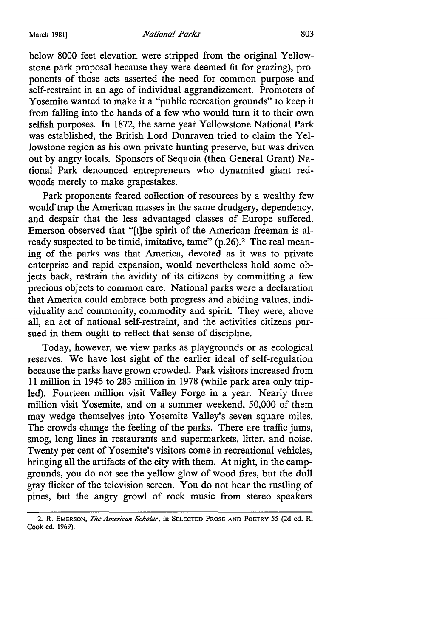below 8000 feet elevation were stripped from the original Yellowstone park proposal because they were deemed fit for grazing), proponents of those acts asserted the need for common purpose and self-restraint in an age of individual aggrandizement. Promoters of Yosemite wanted to make it a "public recreation grounds" to keep it from falling into the hands of a few who would turn it to their own selfish purposes. In 1872, the same year Yellowstone National Park was established, the British Lord Dunraven tried to claim the Yellowstone region as his own private hunting preserve, but was driven out by angry locals. Sponsors of Sequoia (then General Grant) National Park denounced entrepreneurs who dynamited giant redwoods merely to make grapestakes.

Park proponents feared collection of resources by a wealthy few would trap the American masses in the same drudgery, dependency, and despair that the less advantaged classes of Europe suffered. Emerson observed that "[t]he spirit of the American freeman is already suspected to be timid, imitative, tame" (p.26).<sup>2</sup> The real meaning of the parks was that America, devoted as it was to private enterprise and rapid expansion, would nevertheless hold some objects back, restrain the avidity of its citizens by committing a few precious objects to common care. National parks were a declaration that America could embrace both progress and abiding values, individuality and community, commodity and spirit. They were, above all, an act of national self-restraint, and the activities citizens pursued in them ought to reflect that sense of discipline.

Today, however, we view parks as playgrounds or as ecological reserves. We have lost sight of the earlier ideal of self-regulation because the parks have grown crowded. Park visitors increased from 11 million in 1945 to 283 million in 1978 (while park area only tripled). Fourteen million visit Valley Forge in a year. Nearly three million visit Yosemite, and on a summer weekend, 50,000 of them may wedge themselves into Yosemite Valley's seven square miles. The crowds change the feeling of the parks. There are traffic jams, smog, long lines in restaurants and supermarkets, litter, and noise. Twenty per cent of Yosemite's visitors come in recreational vehicles, bringing all the artifacts of the city with them. At night, in the campgrounds, you do not see the yellow glow of wood fires, but the dull gray flicker of the television screen. You do not hear the rustling of pines, but the angry growl of rock music from stereo speakers

<sup>2.</sup> R. EMERSON, *The American Scholar,* in SELECTED PROSE AND POETRY 55 (2d ed. R. Cook ed. 1969).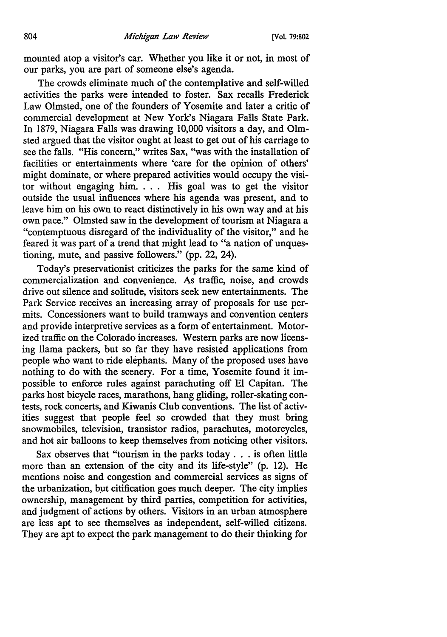mounted atop a visitor's car. Whether you like it or not, in most of our parks, you are part of someone else's agenda.

The crowds eliminate much of the contemplative and self-willed activities the parks were intended to foster. Sax recalls Frederick Law Olmsted, one of the founders of Yosemite and later a critic of commercial development at New York's Niagara Falls State Park. In 1879, Niagara Falls was drawing 10,000 visitors a day, and Olmsted argued that the visitor ought at least to get out of his carriage to see the falls. "His concern," writes Sax, "was with the installation of facilities or entertainments where 'care for the opinion of others' might dominate, or where prepared activities would occupy the visitor without engaging him. . . . His goal was to get the visitor outside the usual influences where his agenda was present, and to leave him on his own to react distinctively in his own way and at his own pace." Olmsted saw in the development of tourism at Niagara a "contemptuous disregard of the individuality of the visitor," and he feared it was part of a trend that might lead to "a nation of unquestioning, mute, and passive followers." (pp. 22, 24).

Today's preservationist criticizes the parks for the same kind of commercialization and convenience. As traffic, noise, and crowds drive out silence and solitude, visitors seek new entertainments. The Park Service receives an increasing array of proposals for use permits. Concessioners want to build tramways and convention centers and provide interpretive services as a form of entertainment. Motorized traffic on the Colorado increases. Western parks are now licensing llama packers, but so far they have resisted applications from people who want to ride elephants. Many of the proposed uses have nothing to do with the scenery. For a time, Yosemite found it impossible to enforce rules against parachuting off El Capitan. The parks host bicycle races, marathons, hang gliding, roller-skating contests, rock concerts, and Kiwanis Club conventions. The list of activities suggest that people feel so crowded that they must bring snowmobiles, television, transistor radios, parachutes, motorcycles, and hot air balloons to keep themselves from noticing other visitors.

Sax observes that "tourism in the parks today . . . is often little more than an extension of the city and its life-style" (p. 12). He mentions noise and congestion and commercial services as signs of the urbanization, but citification goes much deeper. The city implies ownership, management by third parties, competition for activities, and judgment of actions by others. Visitors in an urban atmosphere are less apt to see themselves as independent, self-willed citizens. They are apt to expect the park management to do their thinking for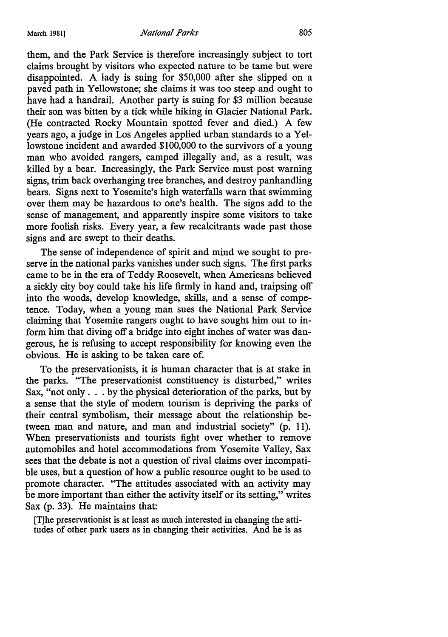them, and the Park Service is therefore increasingly subject to tort claims brought by visitors who expected nature to be tame but were disappointed. A lady is suing for \$50,000 after she slipped on a paved path in Yellowstone; she claims it was too steep and ought to have had a handrail. Another party is suing for \$3 million because their son was bitten by a tick while hiking in Glacier National Park. (He contracted Rocky Mountain spotted fever and died.) A few years ago, a judge in Los Angeles applied urban standards to a Yellowstone incident and awarded \$100,000 to the survivors of a young man who avoided rangers, camped illegally and, as a result, was killed by a bear. Increasingly, the Park Service must post warning signs, trim back overhanging tree branches, and destroy panhandling bears. Signs next to Yosemite's high waterfalls warn that swimming over them may be hazardous to one's health. The signs add to the sense of management, and apparently inspire some visitors to take more foolish risks. Every year, a few recalcitrants wade past those signs and are swept to their deaths.

The sense of independence of spirit and mind we sought to preserve in the national parks vanishes under such signs. The first parks came to be in the era of Teddy Roosevelt, when Americans believed a sickly city boy could take his life firmly in hand and, traipsing off into the woods, develop knowledge, skills, and a sense of competence. Today, when a young man sues the National Park Service claiming that Yosemite rangers ought to have sought him out to inform him that diving off a bridge into eight inches of water was dangerous, he is refusing to accept responsibility for knowing even the obvious. He is asking to be taken care of.

To the preservationists, it is human character that is at stake in the parks. "The preservationist constituency is disturbed," writes Sax, "not only . . . by the physical deterioration of the parks, but by a sense that the style of modern tourism is depriving the parks of their central symbolism, their message about the relationship between man and nature, and man and industrial society" (p. 11). When preservationists and tourists fight over whether to remove automobiles and hotel accommodations from Yosemite Valley, Sax sees that the debate is not a question of rival claims over incompatible uses, but a question of how a public resource ought to be used to promote character. "The attitudes associated with an activity may be more important than either the activity itself or its setting," writes Sax (p. 33). He maintains that:

[T]he preservationist is at least as much interested in changing the attitudes of other park users as in changing their activities. And he is as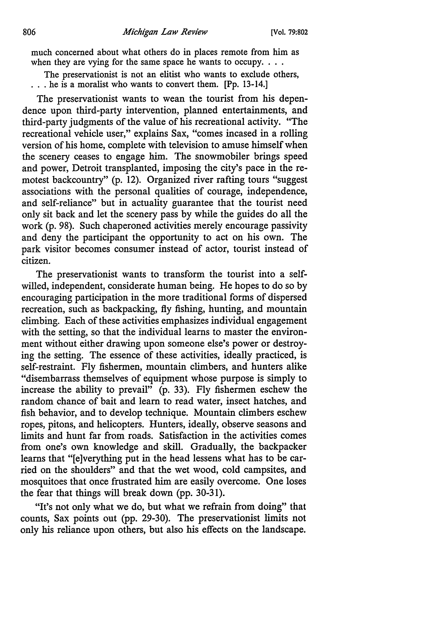much concerned about what others do in places remote from him as when they are vying for the same space he wants to occupy.  $\ldots$ 

The preservationist is not an elitist who wants to exclude others, ... he is a moralist who wants to convert them. [Pp. 13-14.]

The preservationist wants to wean the tourist from his dependence upon third-party intervention, planned entertainments, and third-party judgments of the value of his recreational activity. "The recreational vehicle user," explains Sax, "comes incased in a rolling version of his home, complete with television to amuse himself when the scenery ceases to engage him. The snowmobiler brings speed and power, Detroit transplanted, imposing the city's pace in the remotest backcountry" (p. 12). Organized river rafting tours "suggest associations with the personal qualities of courage, independence, and self-reliance" but in actuality guarantee that the tourist need only sit back and let the scenery pass by while the guides do all the work (p. 98). Such chaperoned activities merely encourage passivity and deny the participant the opportunity to act on his own. The park visitor becomes consumer instead of actor, tourist instead of citizen.

The preservationist wants to transform the tourist into a selfwilled, independent, considerate human being. He hopes to do so by encouraging participation in the more traditional forms of dispersed recreation, such as backpacking, fly fishing, hunting, and mountain climbing. Each of these activities emphasizes individual engagement with the setting, so that the individual learns to master the environment without either drawing upon someone else's power or destroying the setting. The essence of these activities, ideally practiced, is self-restraint. Fly fishermen, mountain climbers, and hunters alike "disembarrass themselves of equipment whose purpose is simply to increase the ability to prevail" (p. 33). Fly fishermen eschew the random chance of bait and learn to read water, insect hatches, and fish behavior, and to develop technique. Mountain climbers eschew ropes, pitons, and helicopters. Hunters, ideally, observe seasons and limits and hunt far from roads. Satisfaction in the activities comes from one's own knowledge and skill. Gradually, the backpacker learns that "[e]verything put in the head lessens what has to be carried on the shoulders" and that the wet wood, cold campsites, and mosquitoes that once frustrated him are easily overcome. One loses the fear that things will break down (pp. 30-31).

"It's not only what we do, but what we refrain from doing" that counts, Sax points out (pp. 29-30). The preservationist limits not only his reliance upon others, but also his effects on the landscape.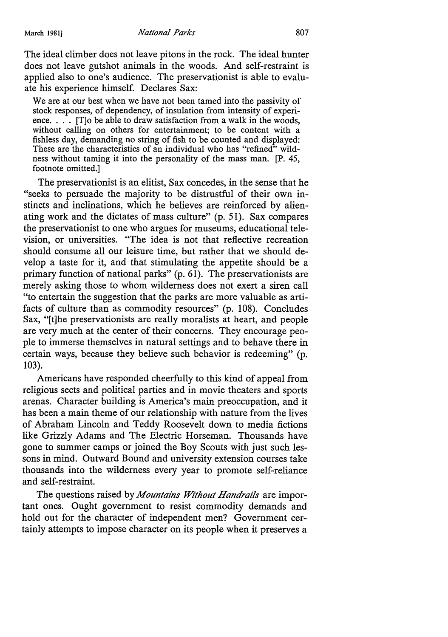The ideal climber does not leave pitons in the rock. The ideal hunter does not leave gutshot animals in the woods. And self-restraint is applied also to one's audience. The preservationist is able to evaluate his experience himself. Declares Sax:

We are at our best when we have not been tamed into the passivity of stock responses, of dependency, of insulation from intensity of experience.  $\ldots$ . [T]o be able to draw satisfaction from a walk in the woods, without calling on others for entertainment; to be content with a fishless day, demanding no string of fish to be counted and displayed: These are the characteristics of an individual who has "refined" wildness without taming it into the personality of the mass man. [P. 45, footnote omitted.]

The preservationist is an elitist, Sax concedes, in the sense that he "seeks to persuade the majority to be distrustful of their own instincts and inclinations, which he believes are reinforced by alienating work and the dictates of mass culture" (p. 51). Sax compares the preservationist to one who argues for museums, educational television, or universities. "The idea is not that reflective recreation should consume all our leisure time, but rather that we should develop a taste for it, and that stimulating the appetite should be a primary function of national parks"  $(p. 61)$ . The preservationists are merely asking those to whom wilderness does not exert a siren call "to entertain the suggestion that the parks are more valuable as artifacts of culture than as commodity resources" (p. 108). Concludes Sax, "[t]he preservationists are really moralists at heart, and people are very much at the center of their concerns. They encourage people to immerse themselves in natural settings and to behave there in certain ways, because they believe such behavior is redeeming" (p. 103).

Americans have responded cheerfully to this kind of appeal from religious sects and political parties and in movie theaters and sports arenas. Character building is America's main preoccupation, and it has been a main theme of our relationship with nature from the lives of Abraham Lincoln and Teddy Roosevelt down to media fictions like Grizzly Adams and The Electric Horseman. Thousands have gone to summer camps or joined the Boy Scouts with just such lessons in mind. Outward Bound and university extension courses take thousands into the wilderness every year to promote self-reliance and self-restraint.

The questions raised by *Mountains Without Handrails* are important ones. Ought government to resist commodity demands and hold out for the character of independent men? Government certainly attempts to impose character on its people when it preserves a